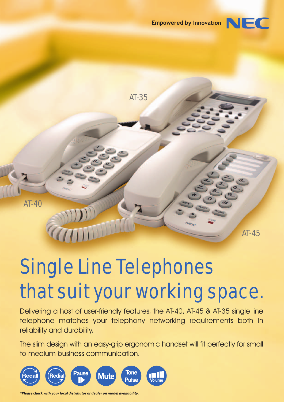# Empowered by Innovation  $\Box$



# Single Line Telephones that suit your working space.

Delivering a host of user-friendly features, the AT-40, AT-45 & AT-35 single line telephone matches your telephony networking requirements both in reliability and durability.

The slim design with an easy-grip ergonomic handset will fit perfectly for small to medium business communication.



*\*Please check with your local distributor or dealer on model availability.*